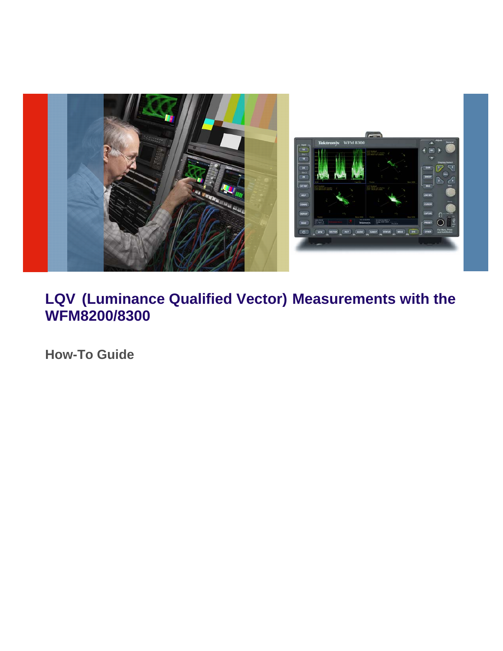

## **LQV (Luminance Qualified Vector) Measurements with the WFM8200/8300**

**How-To Guide**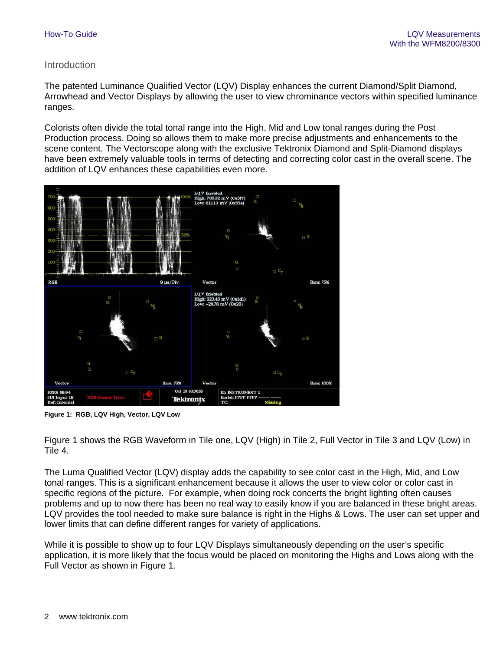## Introduction

The patented Luminance Qualified Vector (LQV) Display enhances the current Diamond/Split Diamond, Arrowhead and Vector Displays by allowing the user to view chrominance vectors within specified luminance ranges.

Colorists often divide the total tonal range into the High, Mid and Low tonal ranges during the Post Production process. Doing so allows them to make more precise adjustments and enhancements to the scene content. The Vectorscope along with the exclusive Tektronix Diamond and Split-Diamond displays have been extremely valuable tools in terms of detecting and correcting color cast in the overall scene. The addition of LQV enhances these capabilities even more.



**Figure 1: RGB, LQV High, Vector, LQV Low** 

Figure 1 shows the RGB Waveform in Tile one, LQV (High) in Tile 2, Full Vector in Tile 3 and LQV (Low) in Tile 4.

The Luma Qualified Vector (LQV) display adds the capability to see color cast in the High, Mid, and Low tonal ranges. This is a significant enhancement because it allows the user to view color or color cast in specific regions of the picture. For example, when doing rock concerts the bright lighting often causes problems and up to now there has been no real way to easily know if you are balanced in these bright areas. LQV provides the tool needed to make sure balance is right in the Highs & Lows. The user can set upper and lower limits that can define different ranges for variety of applications.

While it is possible to show up to four LQV Displays simultaneously depending on the user's specific application, it is more likely that the focus would be placed on monitoring the Highs and Lows along with the Full Vector as shown in Figure 1.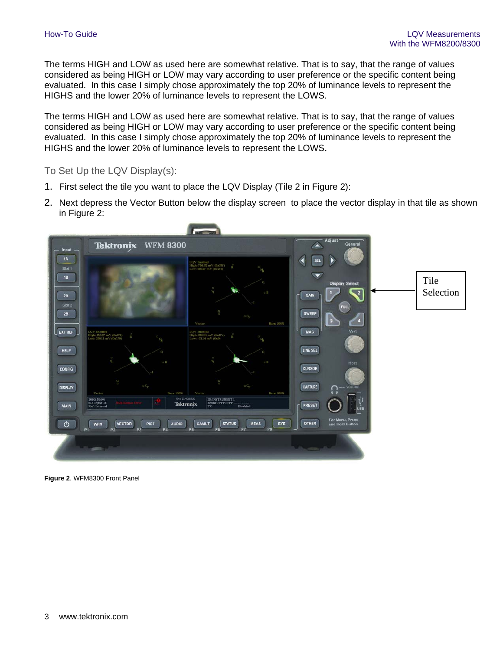The terms HIGH and LOW as used here are somewhat relative. That is to say, that the range of values considered as being HIGH or LOW may vary according to user preference or the specific content being evaluated. In this case I simply chose approximately the top 20% of luminance levels to represent the HIGHS and the lower 20% of luminance levels to represent the LOWS.

The terms HIGH and LOW as used here are somewhat relative. That is to say, that the range of values considered as being HIGH or LOW may vary according to user preference or the specific content being evaluated. In this case I simply chose approximately the top 20% of luminance levels to represent the HIGHS and the lower 20% of luminance levels to represent the LOWS.

To Set Up the LQV Display(s):

- 1. First select the tile you want to place the LQV Display (Tile 2 in Figure 2):
- 2. Next depress the Vector Button below the display screen to place the vector display in that tile as shown in Figure 2:



**Figure 2**. WFM8300 Front Panel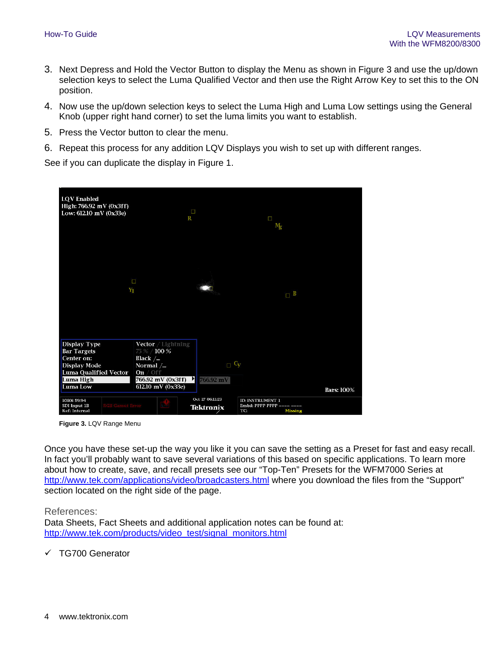- 3. Next Depress and Hold the Vector Button to display the Menu as shown in Figure 3 and use the up/down selection keys to select the Luma Qualified Vector and then use the Right Arrow Key to set this to the ON position.
- 4. Now use the up/down selection keys to select the Luma High and Luma Low settings using the General Knob (upper right hand corner) to set the luma limits you want to establish.
- 5. Press the Vector button to clear the menu.
- 6. Repeat this process for any addition LQV Displays you wish to set up with different ranges.

See if you can duplicate the display in Figure 1.

| <b>LQV</b> Enabled<br>High: 766.92 mV (0x3ff)<br>Low: 612.10 mV (0x33e)                                                   | <b>D</b><br>R                                                                                                                            |                                     | Π<br>Ŋg                                                 |                   |
|---------------------------------------------------------------------------------------------------------------------------|------------------------------------------------------------------------------------------------------------------------------------------|-------------------------------------|---------------------------------------------------------|-------------------|
| Y                                                                                                                         | п                                                                                                                                        | $-100$                              | $\blacksquare$                                          |                   |
| Display Type<br><b>Bar Targets</b><br>Center on:<br><b>Display Mode</b><br>Luma Qualified Vector<br>Luma High<br>Luma Low | <b>Vector</b> / Lightning<br>75 % / 100 %<br>Black $\angle$ .<br>Normal $/$<br>On $/$ Off<br>766.92 mV (0x3ff)<br>н<br>612.10 mV (0x33e) | $\Box$ Cy<br>766.92 mV              |                                                         | <b>Bars: 100%</b> |
| 1080i 59.94<br><b>GB</b> Gamut Error<br>SDI Input 1B<br><b>Ref: Internal</b>                                              | <b>ASSES</b>                                                                                                                             | Oct 27 06:11:23<br><b>Tektronix</b> | ID: INSTRUMENT 1<br>Embd: PPPP PPPP -<br>Missing<br>TC: |                   |

**Figure 3.** LQV Range Menu

Once you have these set-up the way you like it you can save the setting as a Preset for fast and easy recall. In fact you'll probably want to save several variations of this based on specific applications. To learn more about how to create, save, and recall presets see our "Top-Ten" Presets for the WFM7000 Series at http://www.tek.com/applications/video/broadcasters.html where you download the files from the "Support" section located on the right side of the page.

## References:

Data Sheets, Fact Sheets and additional application notes can be found at: http://www.tek.com/products/video\_test/signal\_monitors.html

TG700 Generator